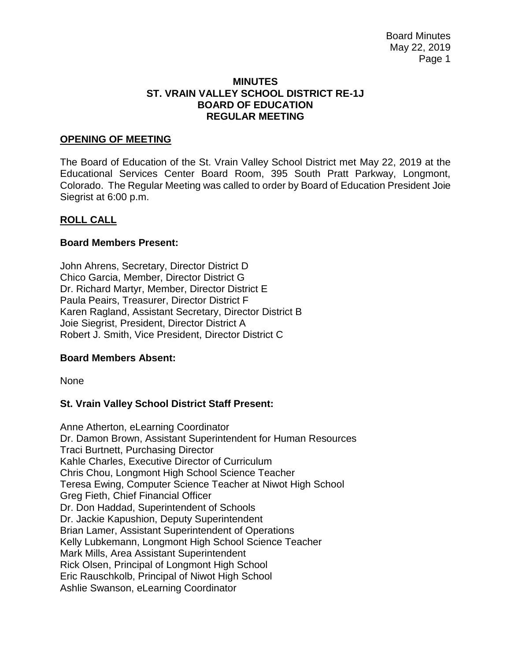#### **MINUTES ST. VRAIN VALLEY SCHOOL DISTRICT RE-1J BOARD OF EDUCATION REGULAR MEETING**

#### **OPENING OF MEETING**

The Board of Education of the St. Vrain Valley School District met May 22, 2019 at the Educational Services Center Board Room, 395 South Pratt Parkway, Longmont, Colorado. The Regular Meeting was called to order by Board of Education President Joie Siegrist at 6:00 p.m.

#### **ROLL CALL**

#### **Board Members Present:**

John Ahrens, Secretary, Director District D Chico Garcia, Member, Director District G Dr. Richard Martyr, Member, Director District E Paula Peairs, Treasurer, Director District F Karen Ragland, Assistant Secretary, Director District B Joie Siegrist, President, Director District A Robert J. Smith, Vice President, Director District C

#### **Board Members Absent:**

None

## **St. Vrain Valley School District Staff Present:**

Anne Atherton, eLearning Coordinator Dr. Damon Brown, Assistant Superintendent for Human Resources Traci Burtnett, Purchasing Director Kahle Charles, Executive Director of Curriculum Chris Chou, Longmont High School Science Teacher Teresa Ewing, Computer Science Teacher at Niwot High School Greg Fieth, Chief Financial Officer Dr. Don Haddad, Superintendent of Schools Dr. Jackie Kapushion, Deputy Superintendent Brian Lamer, Assistant Superintendent of Operations Kelly Lubkemann, Longmont High School Science Teacher Mark Mills, Area Assistant Superintendent Rick Olsen, Principal of Longmont High School Eric Rauschkolb, Principal of Niwot High School Ashlie Swanson, eLearning Coordinator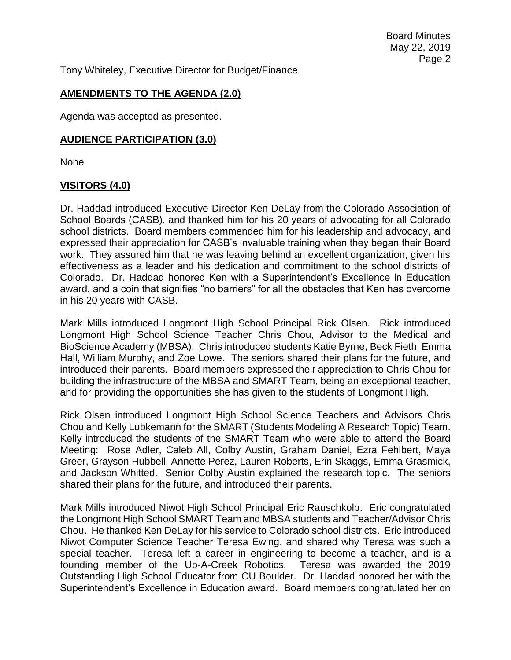Board Minutes May 22, 2019 Page 2

Tony Whiteley, Executive Director for Budget/Finance

# **AMENDMENTS TO THE AGENDA (2.0)**

Agenda was accepted as presented.

#### **AUDIENCE PARTICIPATION (3.0)**

None

# **VISITORS (4.0)**

Dr. Haddad introduced Executive Director Ken DeLay from the Colorado Association of School Boards (CASB), and thanked him for his 20 years of advocating for all Colorado school districts. Board members commended him for his leadership and advocacy, and expressed their appreciation for CASB's invaluable training when they began their Board work. They assured him that he was leaving behind an excellent organization, given his effectiveness as a leader and his dedication and commitment to the school districts of Colorado. Dr. Haddad honored Ken with a Superintendent's Excellence in Education award, and a coin that signifies "no barriers" for all the obstacles that Ken has overcome in his 20 years with CASB.

Mark Mills introduced Longmont High School Principal Rick Olsen. Rick introduced Longmont High School Science Teacher Chris Chou, Advisor to the Medical and BioScience Academy (MBSA). Chris introduced students Katie Byrne, Beck Fieth, Emma Hall, William Murphy, and Zoe Lowe. The seniors shared their plans for the future, and introduced their parents. Board members expressed their appreciation to Chris Chou for building the infrastructure of the MBSA and SMART Team, being an exceptional teacher, and for providing the opportunities she has given to the students of Longmont High.

Rick Olsen introduced Longmont High School Science Teachers and Advisors Chris Chou and Kelly Lubkemann for the SMART (Students Modeling A Research Topic) Team. Kelly introduced the students of the SMART Team who were able to attend the Board Meeting: Rose Adler, Caleb All, Colby Austin, Graham Daniel, Ezra Fehlbert, Maya Greer, Grayson Hubbell, Annette Perez, Lauren Roberts, Erin Skaggs, Emma Grasmick, and Jackson Whitted. Senior Colby Austin explained the research topic. The seniors shared their plans for the future, and introduced their parents.

Mark Mills introduced Niwot High School Principal Eric Rauschkolb. Eric congratulated the Longmont High School SMART Team and MBSA students and Teacher/Advisor Chris Chou. He thanked Ken DeLay for his service to Colorado school districts. Eric introduced Niwot Computer Science Teacher Teresa Ewing, and shared why Teresa was such a special teacher. Teresa left a career in engineering to become a teacher, and is a founding member of the Up-A-Creek Robotics. Teresa was awarded the 2019 Outstanding High School Educator from CU Boulder. Dr. Haddad honored her with the Superintendent's Excellence in Education award. Board members congratulated her on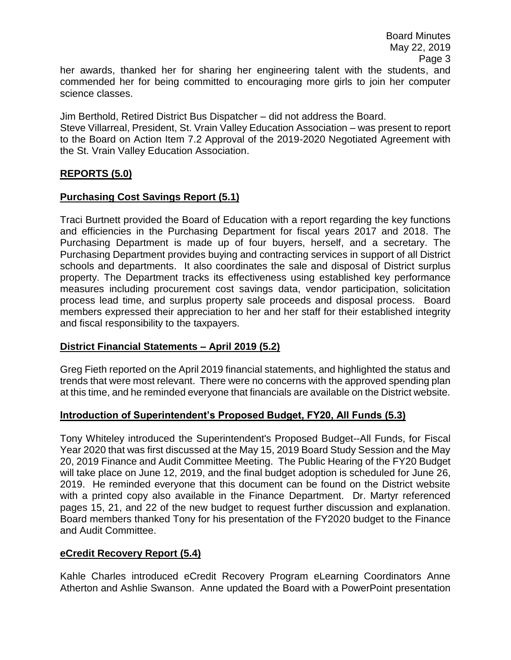her awards, thanked her for sharing her engineering talent with the students, and commended her for being committed to encouraging more girls to join her computer science classes.

Jim Berthold, Retired District Bus Dispatcher – did not address the Board.

Steve Villarreal, President, St. Vrain Valley Education Association – was present to report to the Board on Action Item 7.2 Approval of the 2019-2020 Negotiated Agreement with the St. Vrain Valley Education Association.

## **REPORTS (5.0)**

#### **Purchasing Cost Savings Report (5.1)**

Traci Burtnett provided the Board of Education with a report regarding the key functions and efficiencies in the Purchasing Department for fiscal years 2017 and 2018. The Purchasing Department is made up of four buyers, herself, and a secretary. The Purchasing Department provides buying and contracting services in support of all District schools and departments. It also coordinates the sale and disposal of District surplus property. The Department tracks its effectiveness using established key performance measures including procurement cost savings data, vendor participation, solicitation process lead time, and surplus property sale proceeds and disposal process. Board members expressed their appreciation to her and her staff for their established integrity and fiscal responsibility to the taxpayers.

## **District Financial Statements – April 2019 (5.2)**

Greg Fieth reported on the April 2019 financial statements, and highlighted the status and trends that were most relevant. There were no concerns with the approved spending plan at this time, and he reminded everyone that financials are available on the District website.

## **Introduction of Superintendent's Proposed Budget, FY20, All Funds (5.3)**

Tony Whiteley introduced the Superintendent's Proposed Budget--All Funds, for Fiscal Year 2020 that was first discussed at the May 15, 2019 Board Study Session and the May 20, 2019 Finance and Audit Committee Meeting. The Public Hearing of the FY20 Budget will take place on June 12, 2019, and the final budget adoption is scheduled for June 26, 2019. He reminded everyone that this document can be found on the District website with a printed copy also available in the Finance Department. Dr. Martyr referenced pages 15, 21, and 22 of the new budget to request further discussion and explanation. Board members thanked Tony for his presentation of the FY2020 budget to the Finance and Audit Committee.

## **eCredit Recovery Report (5.4)**

Kahle Charles introduced eCredit Recovery Program eLearning Coordinators Anne Atherton and Ashlie Swanson. Anne updated the Board with a PowerPoint presentation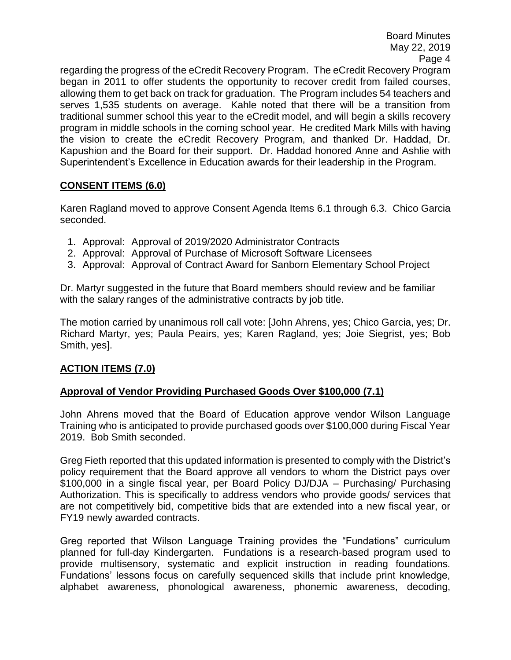Board Minutes May 22, 2019 Page 4

regarding the progress of the eCredit Recovery Program. The eCredit Recovery Program began in 2011 to offer students the opportunity to recover credit from failed courses, allowing them to get back on track for graduation. The Program includes 54 teachers and serves 1,535 students on average. Kahle noted that there will be a transition from traditional summer school this year to the eCredit model, and will begin a skills recovery program in middle schools in the coming school year. He credited Mark Mills with having the vision to create the eCredit Recovery Program, and thanked Dr. Haddad, Dr. Kapushion and the Board for their support. Dr. Haddad honored Anne and Ashlie with Superintendent's Excellence in Education awards for their leadership in the Program.

# **CONSENT ITEMS (6.0)**

Karen Ragland moved to approve Consent Agenda Items 6.1 through 6.3. Chico Garcia seconded.

- 1. Approval: Approval of 2019/2020 Administrator Contracts
- 2. Approval: Approval of Purchase of Microsoft Software Licensees
- 3. Approval: Approval of Contract Award for Sanborn Elementary School Project

Dr. Martyr suggested in the future that Board members should review and be familiar with the salary ranges of the administrative contracts by job title.

The motion carried by unanimous roll call vote: [John Ahrens, yes; Chico Garcia, yes; Dr. Richard Martyr, yes; Paula Peairs, yes; Karen Ragland, yes; Joie Siegrist, yes; Bob Smith, yes].

# **ACTION ITEMS (7.0)**

# **Approval of Vendor Providing Purchased Goods Over \$100,000 (7.1)**

John Ahrens moved that the Board of Education approve vendor Wilson Language Training who is anticipated to provide purchased goods over \$100,000 during Fiscal Year 2019. Bob Smith seconded.

Greg Fieth reported that this updated information is presented to comply with the District's policy requirement that the Board approve all vendors to whom the District pays over \$100,000 in a single fiscal year, per Board Policy DJ/DJA – Purchasing/ Purchasing Authorization. This is specifically to address vendors who provide goods/ services that are not competitively bid, competitive bids that are extended into a new fiscal year, or FY19 newly awarded contracts.

Greg reported that Wilson Language Training provides the "Fundations" curriculum planned for full-day Kindergarten. Fundations is a research-based program used to provide multisensory, systematic and explicit instruction in reading foundations. Fundations' lessons focus on carefully sequenced skills that include print knowledge, alphabet awareness, phonological awareness, phonemic awareness, decoding,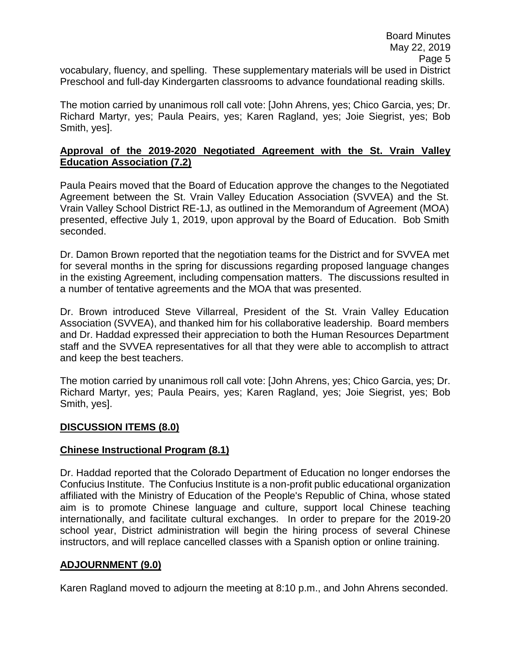vocabulary, fluency, and spelling. These supplementary materials will be used in District Preschool and full-day Kindergarten classrooms to advance foundational reading skills.

The motion carried by unanimous roll call vote: [John Ahrens, yes; Chico Garcia, yes; Dr. Richard Martyr, yes; Paula Peairs, yes; Karen Ragland, yes; Joie Siegrist, yes; Bob Smith, yes].

# **Approval of the 2019-2020 Negotiated Agreement with the St. Vrain Valley Education Association (7.2)**

Paula Peairs moved that the Board of Education approve the changes to the Negotiated Agreement between the St. Vrain Valley Education Association (SVVEA) and the St. Vrain Valley School District RE-1J, as outlined in the Memorandum of Agreement (MOA) presented, effective July 1, 2019, upon approval by the Board of Education. Bob Smith seconded.

Dr. Damon Brown reported that the negotiation teams for the District and for SVVEA met for several months in the spring for discussions regarding proposed language changes in the existing Agreement, including compensation matters. The discussions resulted in a number of tentative agreements and the MOA that was presented.

Dr. Brown introduced Steve Villarreal, President of the St. Vrain Valley Education Association (SVVEA), and thanked him for his collaborative leadership. Board members and Dr. Haddad expressed their appreciation to both the Human Resources Department staff and the SVVEA representatives for all that they were able to accomplish to attract and keep the best teachers.

The motion carried by unanimous roll call vote: [John Ahrens, yes; Chico Garcia, yes; Dr. Richard Martyr, yes; Paula Peairs, yes; Karen Ragland, yes; Joie Siegrist, yes; Bob Smith, yes].

## **DISCUSSION ITEMS (8.0)**

## **Chinese Instructional Program (8.1)**

Dr. Haddad reported that the Colorado Department of Education no longer endorses the Confucius Institute. The Confucius Institute is a non-profit public educational organization affiliated with the Ministry of Education of the People's Republic of China, whose stated aim is to promote Chinese language and culture, support local Chinese teaching internationally, and facilitate cultural exchanges. In order to prepare for the 2019-20 school year, District administration will begin the hiring process of several Chinese instructors, and will replace cancelled classes with a Spanish option or online training.

## **ADJOURNMENT (9.0)**

Karen Ragland moved to adjourn the meeting at 8:10 p.m., and John Ahrens seconded.